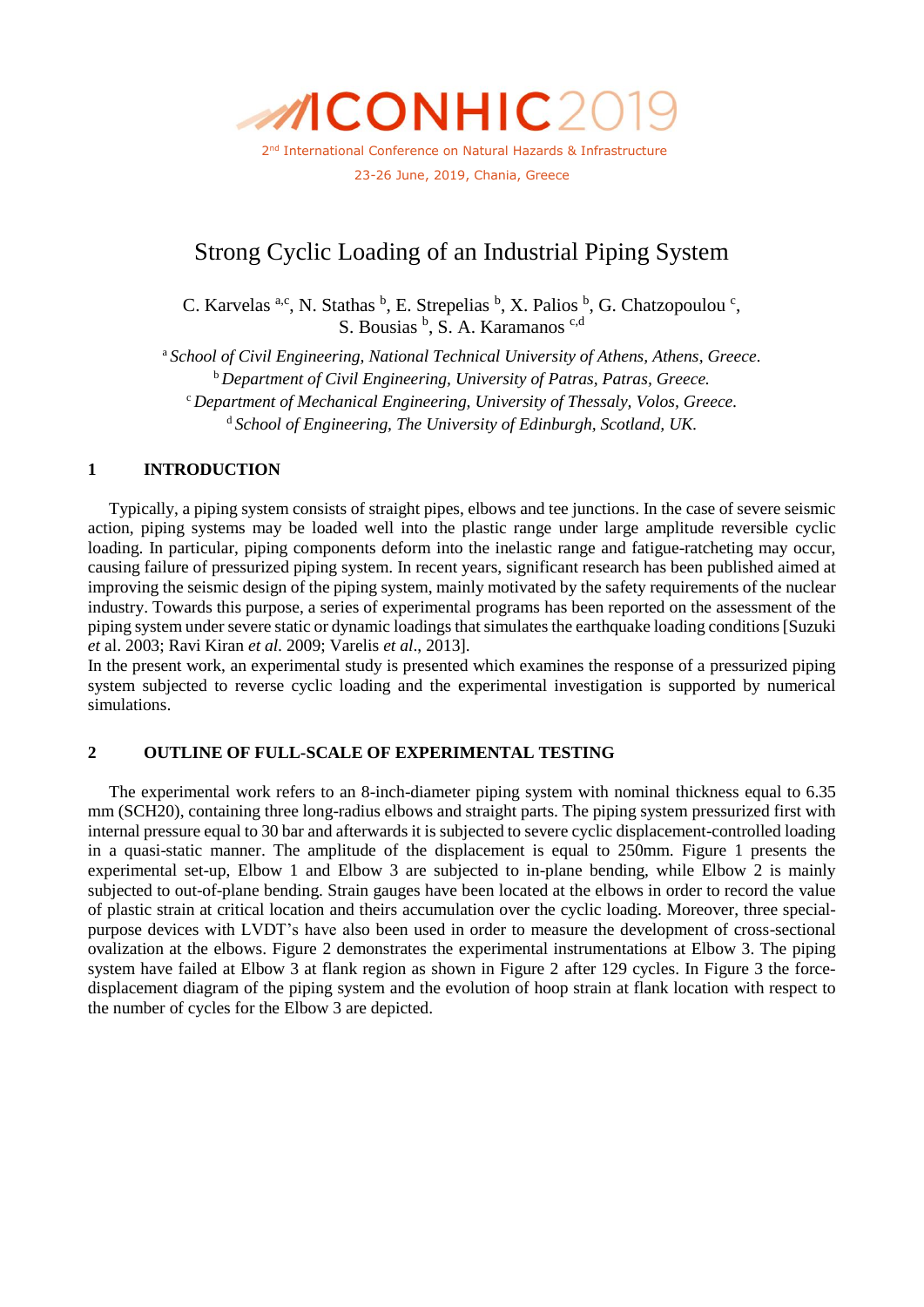

# Strong Cyclic Loading of an Industrial Piping System

C. Karvelas <sup>a,c</sup>, N. Stathas  $\frac{b}{c}$ , E. Strepelias  $\frac{b}{c}$ , X. Palios  $\frac{b}{c}$ , G. Chatzopoulou<sup>c</sup>, S. Bousias <sup>b</sup>, S. A. Karamanos <sup>c,d</sup>

<sup>a</sup> *School of Civil Engineering, National Technical University of Athens, Athens, Greece.* <sup>b</sup> *Department of Civil Engineering, University of Patras, Patras, Greece.* <sup>c</sup> *Department of Mechanical Engineering, University of Thessaly, Volos, Greece.* <sup>d</sup> *School of Engineering, The University of Edinburgh, Scotland, UK.*

# **1 INTRODUCTION**

Typically, a piping system consists of straight pipes, elbows and tee junctions. In the case of severe seismic action, piping systems may be loaded well into the plastic range under large amplitude reversible cyclic loading. In particular, piping components deform into the inelastic range and fatigue-ratcheting may occur, causing failure of pressurized piping system. In recent years, significant research has been published aimed at improving the seismic design of the piping system, mainly motivated by the safety requirements of the nuclear industry. Towards this purpose, a series of experimental programs has been reported on the assessment of the piping system under severe static or dynamic loadings that simulates the earthquake loading conditions [Suzuki *et* al. 2003; Ravi Kiran *et al*. 2009; Varelis *et al*., 2013].

In the present work, an experimental study is presented which examines the response of a pressurized piping system subjected to reverse cyclic loading and the experimental investigation is supported by numerical simulations.

## **2 OUTLINE OF FULL-SCALE OF EXPERIMENTAL TESTING**

The experimental work refers to an 8-inch-diameter piping system with nominal thickness equal to 6.35 mm (SCH20), containing three long-radius elbows and straight parts. The piping system pressurized first with internal pressure equal to 30 bar and afterwards it is subjected to severe cyclic displacement-controlled loading in a quasi-static manner. The amplitude of the displacement is equal to 250mm. Figure 1 presents the experimental set-up, Elbow 1 and Elbow 3 are subjected to in-plane bending, while Elbow 2 is mainly subjected to out-of-plane bending. Strain gauges have been located at the elbows in order to record the value of plastic strain at critical location and theirs accumulation over the cyclic loading. Moreover, three specialpurpose devices with LVDT's have also been used in order to measure the development of cross-sectional ovalization at the elbows. Figure 2 demonstrates the experimental instrumentations at Elbow 3. The piping system have failed at Elbow 3 at flank region as shown in Figure 2 after 129 cycles. In Figure 3 the forcedisplacement diagram of the piping system and the evolution of hoop strain at flank location with respect to the number of cycles for the Elbow 3 are depicted.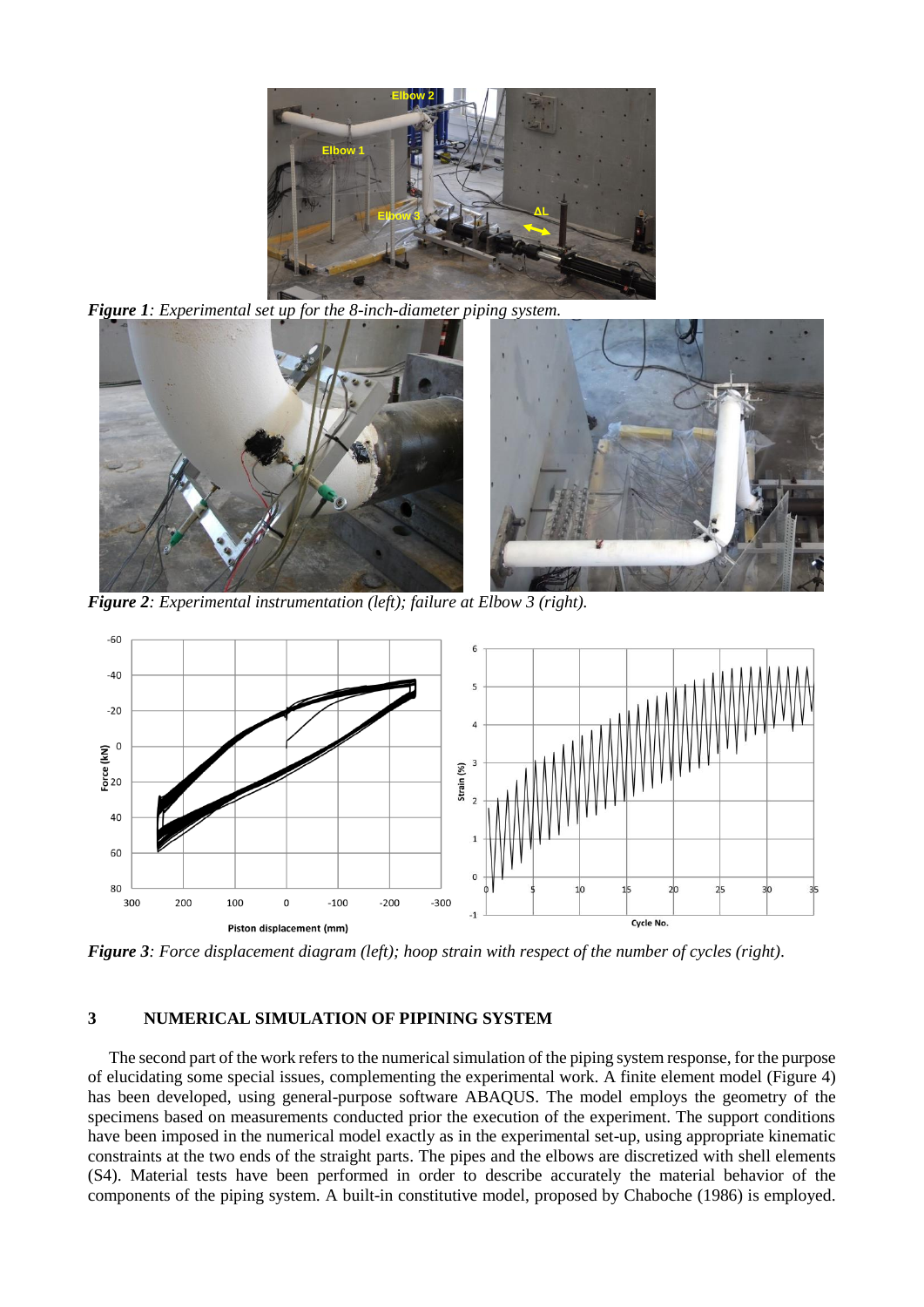

*Figure 1: Experimental set up for the 8-inch-diameter piping system.*



*Figure 2: Experimental instrumentation (left); failure at Elbow 3 (right).*



*Figure 3: Force displacement diagram (left); hoop strain with respect of the number of cycles (right).*

# **3 NUMERICAL SIMULATION OF PIPINING SYSTEM**

The second part of the work refers to the numerical simulation of the piping system response, for the purpose of elucidating some special issues, complementing the experimental work. A finite element model (Figure 4) has been developed, using general-purpose software ABAQUS. The model employs the geometry of the specimens based on measurements conducted prior the execution of the experiment. The support conditions have been imposed in the numerical model exactly as in the experimental set-up, using appropriate kinematic constraints at the two ends of the straight parts. The pipes and the elbows are discretized with shell elements (S4). Material tests have been performed in order to describe accurately the material behavior of the components of the piping system. A built-in constitutive model, proposed by Chaboche (1986) is employed.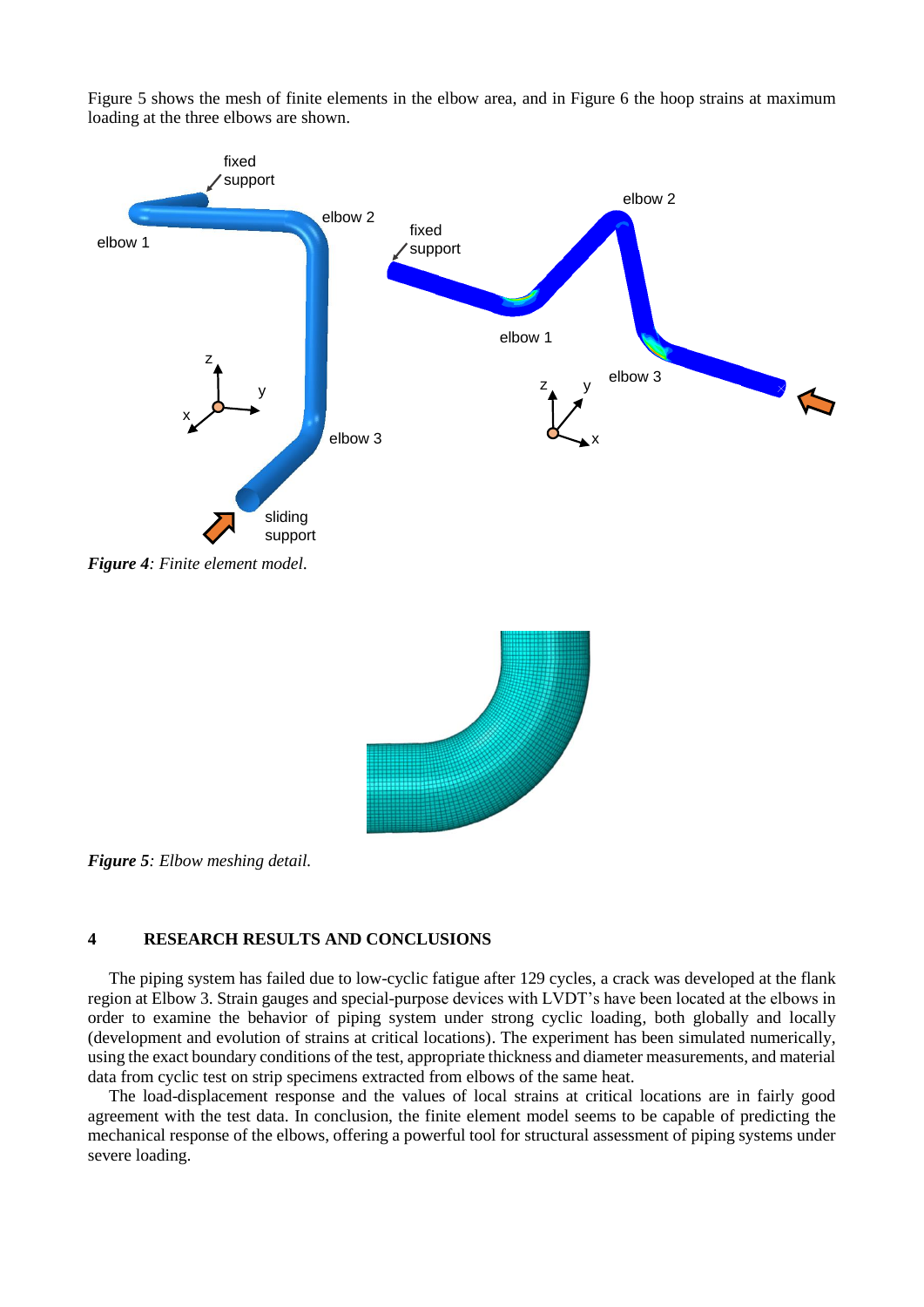

Figure 5 shows the mesh of finite elements in the elbow area, and in Figure 6 the hoop strains at maximum loading at the three elbows are shown.

*Figure 5: Elbow meshing detail.*

## **4 RESEARCH RESULTS AND CONCLUSIONS**

The piping system has failed due to low-cyclic fatigue after 129 cycles, a crack was developed at the flank region at Elbow 3. Strain gauges and special-purpose devices with LVDT's have been located at the elbows in order to examine the behavior of piping system under strong cyclic loading, both globally and locally (development and evolution of strains at critical locations). The experiment has been simulated numerically, using the exact boundary conditions of the test, appropriate thickness and diameter measurements, and material data from cyclic test on strip specimens extracted from elbows of the same heat.

The load-displacement response and the values of local strains at critical locations are in fairly good agreement with the test data. In conclusion, the finite element model seems to be capable of predicting the mechanical response of the elbows, offering a powerful tool for structural assessment of piping systems under severe loading.